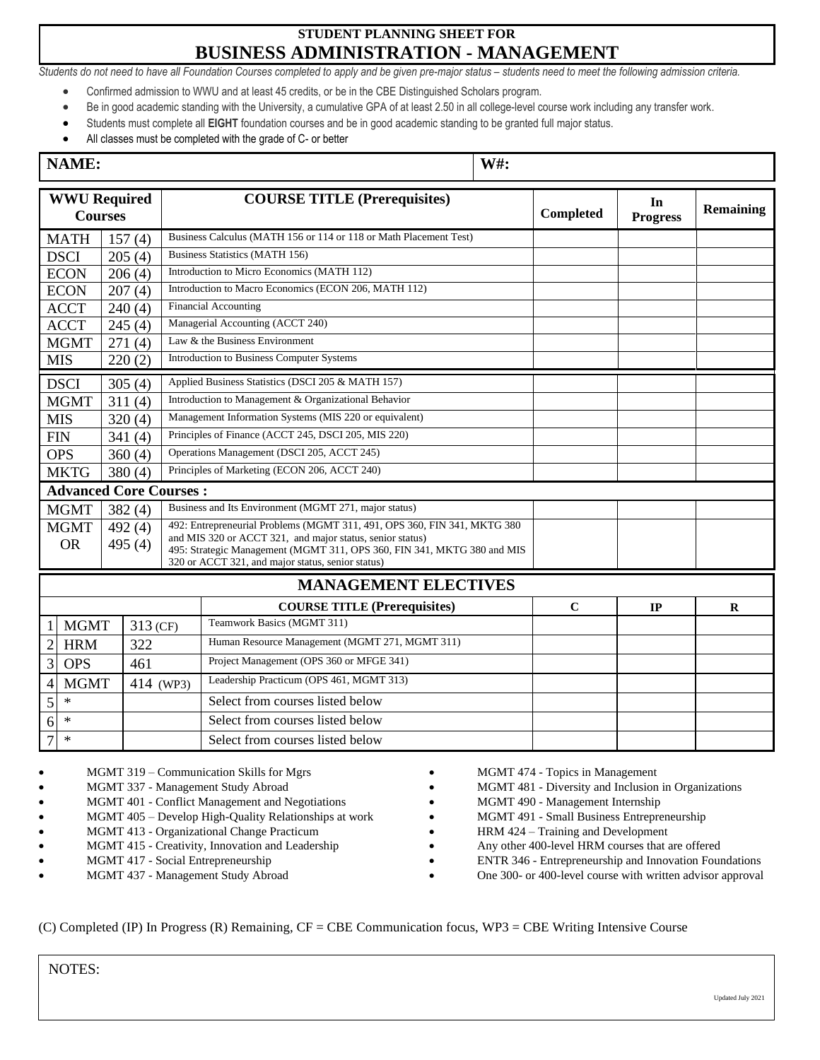# **STUDENT PLANNING SHEET FOR BUSINESS ADMINISTRATION - MANAGEMENT**

Students do not need to have all Foundation Courses completed to apply and be given pre-major status - students need to meet the following admission criteria.

- Confirmed admission to WWU and at least 45 credits, or be in the CBE Distinguished Scholars program.
- Be in good academic standing with the University, a cumulative GPA of at least 2.50 in all college-level course work including any transfer work.
- Students must complete all **EIGHT** foundation courses and be in good academic standing to be granted full major status.
- All classes must be completed with the grade of C- or better

## **NAME: W#:**

| <b>WWU Required</b> |                               |           |  | <b>COURSE TITLE (Prerequisites)</b>                                                                                                  |                  | In              |           |
|---------------------|-------------------------------|-----------|--|--------------------------------------------------------------------------------------------------------------------------------------|------------------|-----------------|-----------|
|                     | <b>Courses</b>                |           |  |                                                                                                                                      | <b>Completed</b> | <b>Progress</b> | Remaining |
|                     | <b>MATH</b>                   | 157(4)    |  | Business Calculus (MATH 156 or 114 or 118 or Math Placement Test)                                                                    |                  |                 |           |
|                     | <b>DSCI</b>                   | 205(4)    |  | Business Statistics (MATH 156)                                                                                                       |                  |                 |           |
|                     | <b>ECON</b>                   | 206(4)    |  | Introduction to Micro Economics (MATH 112)                                                                                           |                  |                 |           |
|                     | <b>ECON</b>                   | 207(4)    |  | Introduction to Macro Economics (ECON 206, MATH 112)                                                                                 |                  |                 |           |
|                     | <b>ACCT</b>                   | 240(4)    |  | <b>Financial Accounting</b>                                                                                                          |                  |                 |           |
|                     | <b>ACCT</b>                   | 245(4)    |  | Managerial Accounting (ACCT 240)                                                                                                     |                  |                 |           |
|                     | <b>MGMT</b>                   | 271(4)    |  | Law & the Business Environment                                                                                                       |                  |                 |           |
|                     | <b>MIS</b>                    | 220(2)    |  | Introduction to Business Computer Systems                                                                                            |                  |                 |           |
|                     | <b>DSCI</b>                   | 305 $(4)$ |  | Applied Business Statistics (DSCI 205 & MATH 157)                                                                                    |                  |                 |           |
| <b>MGMT</b>         |                               | 311(4)    |  | Introduction to Management & Organizational Behavior                                                                                 |                  |                 |           |
| <b>MIS</b>          |                               | 320(4)    |  | Management Information Systems (MIS 220 or equivalent)                                                                               |                  |                 |           |
| <b>FIN</b>          |                               | 341(4)    |  | Principles of Finance (ACCT 245, DSCI 205, MIS 220)                                                                                  |                  |                 |           |
| <b>OPS</b>          |                               | 360(4)    |  | Operations Management (DSCI 205, ACCT 245)                                                                                           |                  |                 |           |
| <b>MKTG</b>         |                               | 380(4)    |  | Principles of Marketing (ECON 206, ACCT 240)                                                                                         |                  |                 |           |
|                     | <b>Advanced Core Courses:</b> |           |  |                                                                                                                                      |                  |                 |           |
|                     | <b>MGMT</b>                   | 382 $(4)$ |  | Business and Its Environment (MGMT 271, major status)                                                                                |                  |                 |           |
|                     | <b>MGMT</b>                   | 492(4)    |  | 492: Entrepreneurial Problems (MGMT 311, 491, OPS 360, FIN 341, MKTG 380                                                             |                  |                 |           |
| <b>OR</b>           |                               | 495 (4)   |  | and MIS 320 or ACCT 321, and major status, senior status)<br>495: Strategic Management (MGMT 311, OPS 360, FIN 341, MKTG 380 and MIS |                  |                 |           |
|                     |                               |           |  | 320 or ACCT 321, and major status, senior status)                                                                                    |                  |                 |           |
|                     |                               |           |  | <b>MANAGEMENT ELECTIVES</b>                                                                                                          |                  |                 |           |
|                     |                               |           |  | <b>COURSE TITLE (Prerequisites)</b>                                                                                                  | $\mathbf C$      | IP              | $\bf R$   |
|                     | <b>MGMT</b>                   | 313 (CF)  |  | Teamwork Basics (MGMT 311)                                                                                                           |                  |                 |           |
| $\overline{c}$      | <b>HRM</b>                    | 322       |  | Human Resource Management (MGMT 271, MGMT 311)                                                                                       |                  |                 |           |
| $\overline{3}$      | <b>OPS</b>                    | 461       |  | Project Management (OPS 360 or MFGE 341)                                                                                             |                  |                 |           |
| $\overline{4}$      | <b>MGMT</b>                   | 414 (WP3) |  | Leadership Practicum (OPS 461, MGMT 313)                                                                                             |                  |                 |           |
| 5                   | $\ast$                        |           |  | Select from courses listed below                                                                                                     |                  |                 |           |
| 6                   | $\ast$                        |           |  | Select from courses listed below                                                                                                     |                  |                 |           |
| $\overline{7}$      | $\ast$                        |           |  | Select from courses listed below                                                                                                     |                  |                 |           |

- MGMT 319 Communication Skills for Mgrs • MGMT 337 - Management Study Abroad • MGMT 401 - Conflict Management and Negotiations • MGMT 405 – Develop High-Quality Relationships at work • MGMT 413 - Organizational Change Practicum MGMT 415 - Creativity, Innovation and Leadership • MGMT 417 - Social Entrepreneurship
- MGMT 437 Management Study Abroad
- MGMT 474 Topics in Management
- MGMT 481 Diversity and Inclusion in Organizations
- MGMT 490 Management Internship
- MGMT 491 Small Business Entrepreneurship
	- HRM 424 Training and Development
- Any other 400-level HRM courses that are offered
- ENTR 346 Entrepreneurship and Innovation Foundations
- One 300- or 400-level course with written advisor approval

(C) Completed (IP) In Progress (R) Remaining, CF = CBE Communication focus, WP3 = CBE Writing Intensive Course

NOTES: